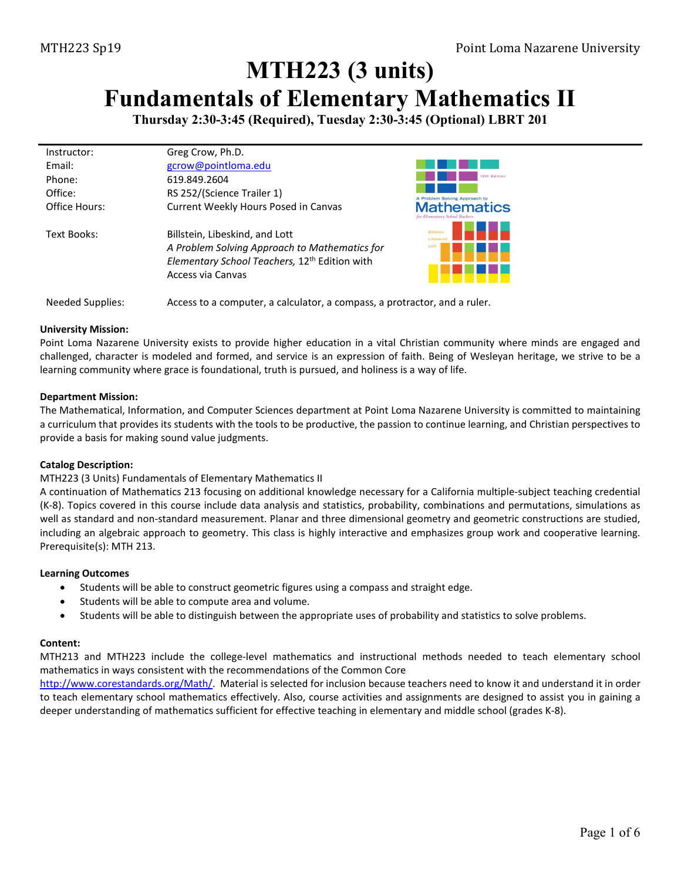# **MTH223 (3 units) Fundamentals of Elementary Mathematics II**

**Thursday 2:30-3:45 (Required), Tuesday 2:30-3:45 (Optional) LBRT 201**

| Instructor:   | Greg Crow, Ph.D.                                          |                                                      |
|---------------|-----------------------------------------------------------|------------------------------------------------------|
| Fmail:        | gcrow@pointloma.edu                                       |                                                      |
| Phone:        | 619.849.2604                                              | 12th Edition                                         |
| Office:       | RS 252/(Science Trailer 1)                                | A Problem Solving Approach to                        |
| Office Hours: | Current Weekly Hours Posed in Canvas                      | <b>Mathematics</b><br>for Elementary School Teachers |
| Text Books:   | Billstein, Libeskind, and Lott                            | <b>Billstein</b><br><b>Lihosk</b>                    |
|               | A Problem Solving Approach to Mathematics for             | Lott                                                 |
|               | Elementary School Teachers, 12 <sup>th</sup> Edition with |                                                      |
|               | Access via Canvas                                         |                                                      |
|               |                                                           |                                                      |

Needed Supplies: Access to a computer, a calculator, a compass, a protractor, and a ruler.

#### **University Mission:**

Point Loma Nazarene University exists to provide higher education in a vital Christian community where minds are engaged and challenged, character is modeled and formed, and service is an expression of faith. Being of Wesleyan heritage, we strive to be a learning community where grace is foundational, truth is pursued, and holiness is a way of life.

#### **Department Mission:**

The Mathematical, Information, and Computer Sciences department at Point Loma Nazarene University is committed to maintaining a curriculum that provides its students with the tools to be productive, the passion to continue learning, and Christian perspectives to provide a basis for making sound value judgments.

### **Catalog Description:**

### MTH223 (3 Units) Fundamentals of Elementary Mathematics II

A continuation of Mathematics 213 focusing on additional knowledge necessary for a California multiple-subject teaching credential (K-8). Topics covered in this course include data analysis and statistics, probability, combinations and permutations, simulations as well as standard and non-standard measurement. Planar and three dimensional geometry and geometric constructions are studied, including an algebraic approach to geometry. This class is highly interactive and emphasizes group work and cooperative learning. Prerequisite(s): [MTH 213.](https://catalog.pointloma.edu/content.php?filter%5B27%5D=MTH&filter%5B29%5D=223&filter%5Bcourse_type%5D=-1&filter%5Bkeyword%5D=&filter%5B32%5D=1&filter%5Bcpage%5D=1&cur_cat_oid=35&expand=&navoid=2144&search_database=Filter#tt8564)

#### **Learning Outcomes**

- Students will be able to construct geometric figures using a compass and straight edge.
- Students will be able to compute area and volume.
- Students will be able to distinguish between the appropriate uses of probability and statistics to solve problems.

#### **Content:**

MTH213 and MTH223 include the college-level mathematics and instructional methods needed to teach elementary school mathematics in ways consistent with the recommendations of the Common Core

[http://www.corestandards.org/Math/.](http://www.corestandards.org/Math/) Material is selected for inclusion because teachers need to know it and understand it in order to teach elementary school mathematics effectively. Also, course activities and assignments are designed to assist you in gaining a deeper understanding of mathematics sufficient for effective teaching in elementary and middle school (grades K-8).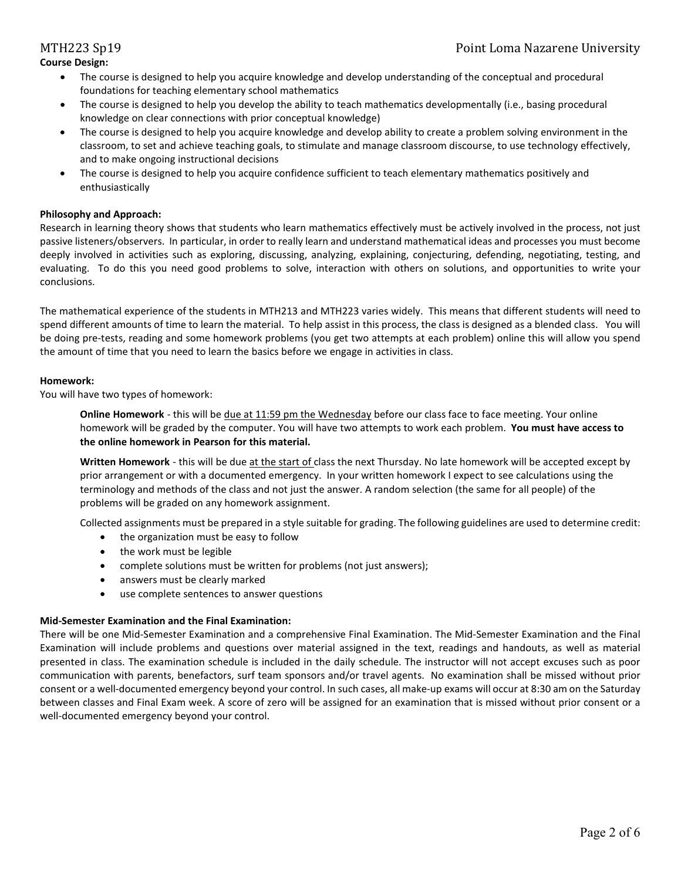#### **Course Design:**

- The course is designed to help you acquire knowledge and develop understanding of the conceptual and procedural foundations for teaching elementary school mathematics
- The course is designed to help you develop the ability to teach mathematics developmentally (i.e., basing procedural knowledge on clear connections with prior conceptual knowledge)
- The course is designed to help you acquire knowledge and develop ability to create a problem solving environment in the classroom, to set and achieve teaching goals, to stimulate and manage classroom discourse, to use technology effectively, and to make ongoing instructional decisions
- The course is designed to help you acquire confidence sufficient to teach elementary mathematics positively and enthusiastically

### **Philosophy and Approach:**

Research in learning theory shows that students who learn mathematics effectively must be actively involved in the process, not just passive listeners/observers. In particular, in order to really learn and understand mathematical ideas and processes you must become deeply involved in activities such as exploring, discussing, analyzing, explaining, conjecturing, defending, negotiating, testing, and evaluating. To do this you need good problems to solve, interaction with others on solutions, and opportunities to write your conclusions.

The mathematical experience of the students in MTH213 and MTH223 varies widely. This means that different students will need to spend different amounts of time to learn the material. To help assist in this process, the class is designed as a blended class. You will be doing pre-tests, reading and some homework problems (you get two attempts at each problem) online this will allow you spend the amount of time that you need to learn the basics before we engage in activities in class.

#### **Homework:**

You will have two types of homework:

**Online Homework** - this will be due at 11:59 pm the Wednesday before our class face to face meeting. Your online homework will be graded by the computer. You will have two attempts to work each problem. **You must have access to the online homework in Pearson for this material.**

**Written Homework** - this will be due at the start of class the next Thursday. No late homework will be accepted except by prior arrangement or with a documented emergency. In your written homework I expect to see calculations using the terminology and methods of the class and not just the answer. A random selection (the same for all people) of the problems will be graded on any homework assignment.

Collected assignments must be prepared in a style suitable for grading. The following guidelines are used to determine credit:

- the organization must be easy to follow
- the work must be legible
- complete solutions must be written for problems (not just answers);
- answers must be clearly marked
- use complete sentences to answer questions

### **Mid-Semester Examination and the Final Examination:**

There will be one Mid-Semester Examination and a comprehensive Final Examination. The Mid-Semester Examination and the Final Examination will include problems and questions over material assigned in the text, readings and handouts, as well as material presented in class. The examination schedule is included in the daily schedule. The instructor will not accept excuses such as poor communication with parents, benefactors, surf team sponsors and/or travel agents. No examination shall be missed without prior consent or a well-documented emergency beyond your control. In such cases, all make-up exams will occur at 8:30 am on the Saturday between classes and Final Exam week. A score of zero will be assigned for an examination that is missed without prior consent or a well-documented emergency beyond your control.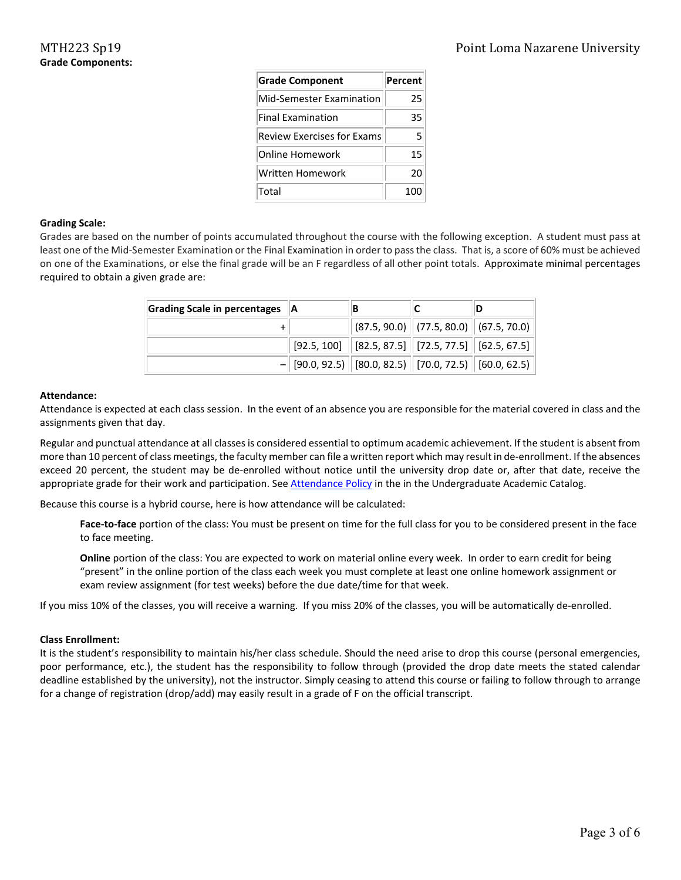| <b>Grade Component</b>     | Percent |
|----------------------------|---------|
| Mid-Semester Examination   | 25      |
| <b>Final Examination</b>   | 35      |
| Review Exercises for Exams | 5       |
| Online Homework            | 15      |
| Written Homework           | 20      |
| Total                      | 100     |

#### **Grading Scale:**

Grades are based on the number of points accumulated throughout the course with the following exception. A student must pass at least one of the Mid-Semester Examination or the Final Examination in order to pass the class. That is, a score of 60% must be achieved on one of the Examinations, or else the final grade will be an F regardless of all other point totals. Approximate minimal percentages required to obtain a given grade are:

| Grading Scale in percentages   A |  |                                                            |                                                                                                         |
|----------------------------------|--|------------------------------------------------------------|---------------------------------------------------------------------------------------------------------|
|                                  |  |                                                            | $\ $ (87.5, 90.0) $\ $ (77.5, 80.0) $\ $ (67.5, 70.0)                                                   |
|                                  |  | $[92.5, 100]$ $[82.5, 87.5]$ $[72.5, 77.5]$ $[62.5, 67.5]$ |                                                                                                         |
|                                  |  |                                                            | $-$ [90.0, 92.5) $\parallel$ [80.0, 82.5) $\parallel$ [70.0, 72.5) $\parallel$ [60.0, 62.5) $\parallel$ |

#### **Attendance:**

Attendance is expected at each class session. In the event of an absence you are responsible for the material covered in class and the assignments given that day.

Regular and punctual attendance at all classes is considered essential to optimum academic achievement. If the student is absent from more than 10 percent of class meetings, the faculty member can file a written report which may result in de-enrollment. If the absences exceed 20 percent, the student may be de-enrolled without notice until the university drop date or, after that date, receive the appropriate grade for their work and participation. Se[e Attendance Policy](https://catalog.pointloma.edu/content.php?catoid=28&navoid=1761#Class_Attendance) in the in the Undergraduate Academic Catalog.

Because this course is a hybrid course, here is how attendance will be calculated:

**Face-to-face** portion of the class: You must be present on time for the full class for you to be considered present in the face to face meeting.

**Online** portion of the class: You are expected to work on material online every week. In order to earn credit for being "present" in the online portion of the class each week you must complete at least one online homework assignment or exam review assignment (for test weeks) before the due date/time for that week.

If you miss 10% of the classes, you will receive a warning. If you miss 20% of the classes, you will be automatically de-enrolled.

#### **Class Enrollment:**

It is the student's responsibility to maintain his/her class schedule. Should the need arise to drop this course (personal emergencies, poor performance, etc.), the student has the responsibility to follow through (provided the drop date meets the stated calendar deadline established by the university), not the instructor. Simply ceasing to attend this course or failing to follow through to arrange for a change of registration (drop/add) may easily result in a grade of F on the official transcript.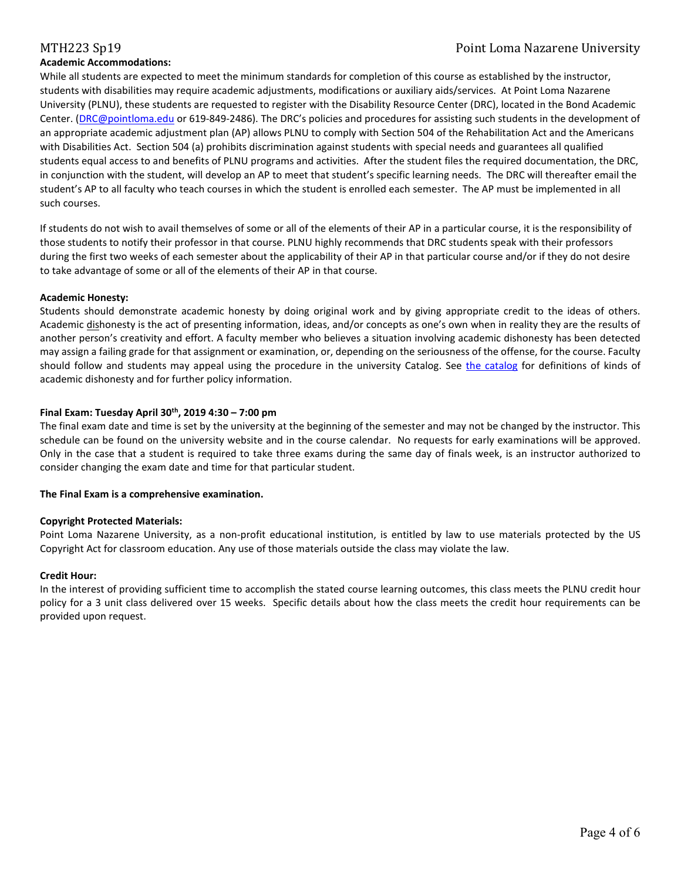### **Academic Accommodations:**

### MTH223 Sp19 Point Loma Nazarene University

While all students are expected to meet the minimum standards for completion of this course as established by the instructor, students with disabilities may require academic adjustments, modifications or auxiliary aids/services. At Point Loma Nazarene University (PLNU), these students are requested to register with the Disability Resource Center (DRC), located in the Bond Academic Center. [\(DRC@pointloma.edu](mailto:DRC@pointloma.edu) or 619-849-2486). The DRC's policies and procedures for assisting such students in the development of an appropriate academic adjustment plan (AP) allows PLNU to comply with Section 504 of the Rehabilitation Act and the Americans with Disabilities Act. Section 504 (a) prohibits discrimination against students with special needs and guarantees all qualified students equal access to and benefits of PLNU programs and activities. After the student files the required documentation, the DRC, in conjunction with the student, will develop an AP to meet that student's specific learning needs. The DRC will thereafter email the student's AP to all faculty who teach courses in which the student is enrolled each semester. The AP must be implemented in all such courses.

If students do not wish to avail themselves of some or all of the elements of their AP in a particular course, it is the responsibility of those students to notify their professor in that course. PLNU highly recommends that DRC students speak with their professors during the first two weeks of each semester about the applicability of their AP in that particular course and/or if they do not desire to take advantage of some or all of the elements of their AP in that course.

#### **Academic Honesty:**

Students should demonstrate academic honesty by doing original work and by giving appropriate credit to the ideas of others. Academic dishonesty is the act of presenting information, ideas, and/or concepts as one's own when in reality they are the results of another person's creativity and effort. A faculty member who believes a situation involving academic dishonesty has been detected may assign a failing grade for that assignment or examination, or, depending on the seriousness of the offense, for the course. Faculty should follow and students may appeal using the procedure in the university Catalog. See [the catalog](https://catalog.pointloma.edu/content.php?catoid=28&navoid=1761#Academic_Honesty) for definitions of kinds of academic dishonesty and for further policy information.

### **Final Exam: Tuesday April 30th, 2019 4:30 – 7:00 pm**

The final exam date and time is set by the university at the beginning of the semester and may not be changed by the instructor. This schedule can be found on the university website and in the course calendar. No requests for early examinations will be approved. Only in the case that a student is required to take three exams during the same day of finals week, is an instructor authorized to consider changing the exam date and time for that particular student.

### **The Final Exam is a comprehensive examination.**

### **Copyright Protected Materials:**

Point Loma Nazarene University, as a non-profit educational institution, is entitled by law to use materials protected by the US Copyright Act for classroom education. Any use of those materials outside the class may violate the law.

### **Credit Hour:**

In the interest of providing sufficient time to accomplish the stated course learning outcomes, this class meets the PLNU credit hour policy for a 3 unit class delivered over 15 weeks. Specific details about how the class meets the credit hour requirements can be provided upon request.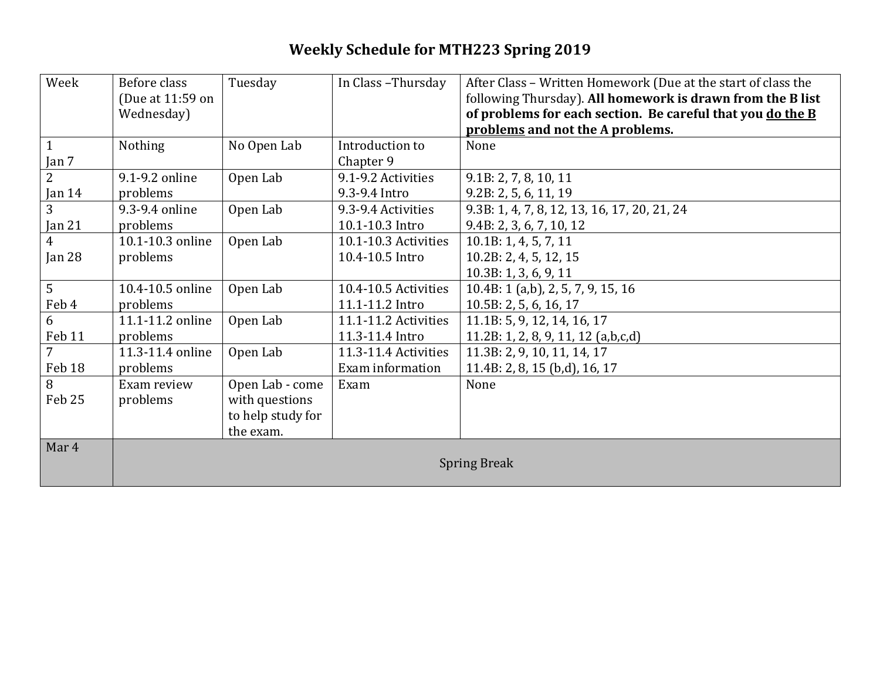## **Weekly Schedule for MTH223 Spring 2019**

| Week           | Before class        | Tuesday           | In Class-Thursday    | After Class - Written Homework (Due at the start of class the |
|----------------|---------------------|-------------------|----------------------|---------------------------------------------------------------|
|                | (Due at 11:59 on    |                   |                      | following Thursday). All homework is drawn from the B list    |
|                | Wednesday)          |                   |                      | of problems for each section. Be careful that you do the B    |
|                |                     |                   |                      | problems and not the A problems.                              |
| $\mathbf{1}$   | Nothing             | No Open Lab       | Introduction to      | None                                                          |
| Jan 7          |                     |                   | Chapter 9            |                                                               |
| $\overline{2}$ | 9.1-9.2 online      | Open Lab          | 9.1-9.2 Activities   | 9.1B: 2, 7, 8, 10, 11                                         |
| Jan $14$       | problems            |                   | 9.3-9.4 Intro        | 9.2B: 2, 5, 6, 11, 19                                         |
| $\overline{3}$ | 9.3-9.4 online      | Open Lab          | 9.3-9.4 Activities   | 9.3B: 1, 4, 7, 8, 12, 13, 16, 17, 20, 21, 24                  |
| Jan $21$       | problems            |                   | 10.1-10.3 Intro      | 9.4B: 2, 3, 6, 7, 10, 12                                      |
| $\overline{4}$ | 10.1-10.3 online    | Open Lab          | 10.1-10.3 Activities | 10.1B: 1, 4, 5, 7, 11                                         |
| Jan $28$       | problems            |                   | 10.4-10.5 Intro      | 10.2B: 2, 4, 5, 12, 15                                        |
|                |                     |                   |                      | 10.3B: 1, 3, 6, 9, 11                                         |
| 5              | 10.4-10.5 online    | Open Lab          | 10.4-10.5 Activities | 10.4B: 1 (a,b), 2, 5, 7, 9, 15, 16                            |
| Feb 4          | problems            |                   | 11.1-11.2 Intro      | 10.5B: 2, 5, 6, 16, 17                                        |
| 6              | 11.1-11.2 online    | Open Lab          | 11.1-11.2 Activities | 11.1B: 5, 9, 12, 14, 16, 17                                   |
| Feb 11         | problems            |                   | 11.3-11.4 Intro      | $11.2B: 1, 2, 8, 9, 11, 12$ (a,b,c,d)                         |
| $\overline{7}$ | 11.3-11.4 online    | Open Lab          | 11.3-11.4 Activities | 11.3B: 2, 9, 10, 11, 14, 17                                   |
| Feb 18         | problems            |                   | Exam information     | 11.4B: 2, 8, 15 (b,d), 16, 17                                 |
| 8              | Exam review         | Open Lab - come   | Exam                 | None                                                          |
| Feb 25         | problems            | with questions    |                      |                                                               |
|                |                     | to help study for |                      |                                                               |
|                |                     | the exam.         |                      |                                                               |
| Mar 4          |                     |                   |                      |                                                               |
|                | <b>Spring Break</b> |                   |                      |                                                               |
|                |                     |                   |                      |                                                               |